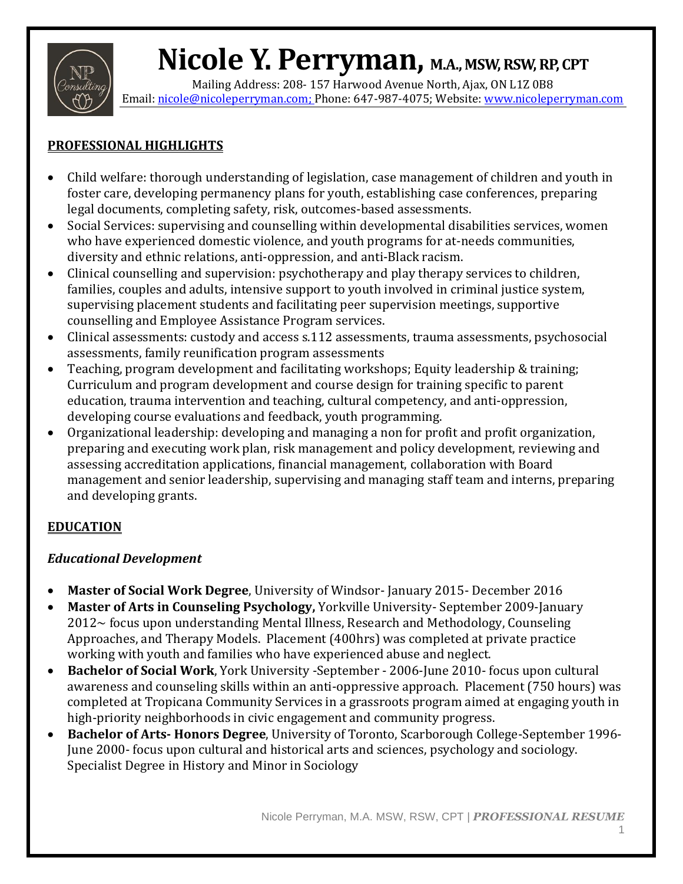

Mailing Address: 208- 157 Harwood Avenue North, Ajax, ON L1Z 0B8 Email[: nicole@nicoleperryman.com;](mailto:nicole@nicoleperryman.com) Phone: 647-987-4075; Website[: www.nicoleperryman.com](http://www.nicoleperryman.com/)

# **PROFESSIONAL HIGHLIGHTS**

- Child welfare: thorough understanding of legislation, case management of children and youth in foster care, developing permanency plans for youth, establishing case conferences, preparing legal documents, completing safety, risk, outcomes-based assessments.
- Social Services: supervising and counselling within developmental disabilities services, women who have experienced domestic violence, and youth programs for at-needs communities, diversity and ethnic relations, anti-oppression, and anti-Black racism.
- Clinical counselling and supervision: psychotherapy and play therapy services to children, families, couples and adults, intensive support to youth involved in criminal justice system, supervising placement students and facilitating peer supervision meetings, supportive counselling and Employee Assistance Program services.
- Clinical assessments: custody and access s.112 assessments, trauma assessments, psychosocial assessments, family reunification program assessments
- Teaching, program development and facilitating workshops; Equity leadership & training; Curriculum and program development and course design for training specific to parent education, trauma intervention and teaching, cultural competency, and anti-oppression, developing course evaluations and feedback, youth programming.
- Organizational leadership: developing and managing a non for profit and profit organization, preparing and executing work plan, risk management and policy development, reviewing and assessing accreditation applications, financial management, collaboration with Board management and senior leadership, supervising and managing staff team and interns, preparing and developing grants.

# **EDUCATION**

# *Educational Development*

- **Master of Social Work Degree**, University of Windsor- January 2015- December 2016
- **Master of Arts in Counseling Psychology,** Yorkville University- September 2009-January  $2012\sim$  focus upon understanding Mental Illness, Research and Methodology, Counseling Approaches, and Therapy Models. Placement (400hrs) was completed at private practice working with youth and families who have experienced abuse and neglect.
- **Bachelor of Social Work**, York University -September 2006-June 2010- focus upon cultural awareness and counseling skills within an anti-oppressive approach. Placement (750 hours) was completed at Tropicana Community Services in a grassroots program aimed at engaging youth in high-priority neighborhoods in civic engagement and community progress.
- **Bachelor of Arts- Honors Degree**, University of Toronto, Scarborough College-September 1996- June 2000- focus upon cultural and historical arts and sciences, psychology and sociology. Specialist Degree in History and Minor in Sociology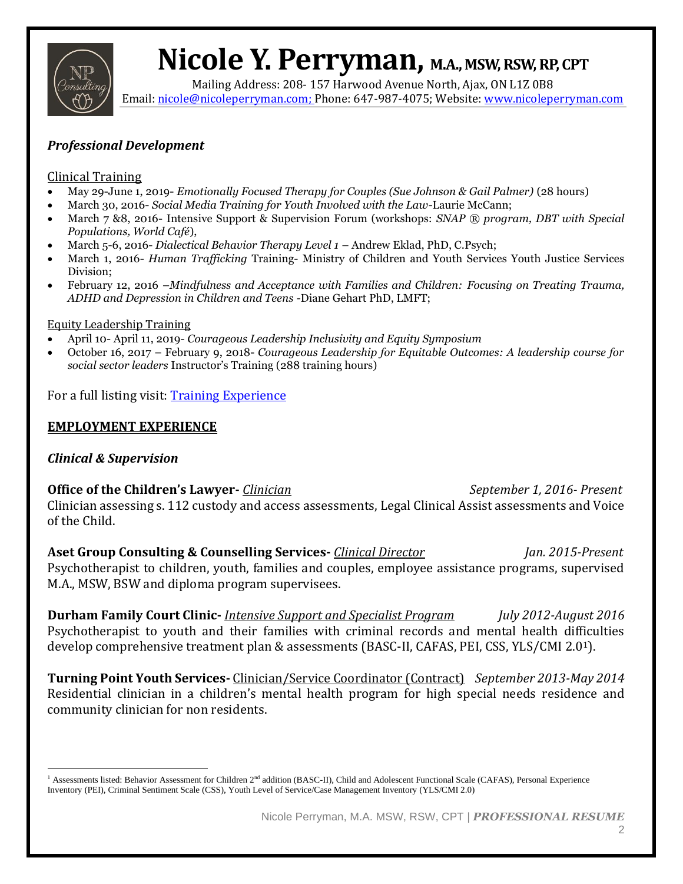

Mailing Address: 208- 157 Harwood Avenue North, Ajax, ON L1Z 0B8 Email[: nicole@nicoleperryman.com;](mailto:nicole@nicoleperryman.com) Phone: 647-987-4075; Website[: www.nicoleperryman.com](http://www.nicoleperryman.com/)

## *Professional Development*

### Clinical Training

- May 29-June 1, 2019- *Emotionally Focused Therapy for Couples (Sue Johnson & Gail Palmer)* (28 hours)
- March 30, 2016- *Social Media Training for Youth Involved with the Law-*Laurie McCann;
- March 7 &8, 2016- Intensive Support & Supervision Forum (workshops: *SNAP ® program, DBT with Special Populations, World Café*),
- March 5-6, 2016- *Dialectical Behavior Therapy Level 1*  Andrew Eklad, PhD, C.Psych;
- March 1, 2016- *Human Trafficking* Training- Ministry of Children and Youth Services Youth Justice Services Division;
- February 12, 2016 –*Mindfulness and Acceptance with Families and Children: Focusing on Treating Trauma, ADHD and Depression in Children and Teens -*Diane Gehart PhD, LMFT;

### Equity Leadership Training

- April 10- April 11, 2019- *Courageous Leadership Inclusivity and Equity Symposium*
- October 16, 2017 February 9, 2018- *Courageous Leadership for Equitable Outcomes: A leadership course for social sector leaders* Instructor's Training (288 training hours)

For a full listing visit: [Training Experience](https://nicoleperryman.com/2021/05/03/training-experience/)

## **EMPLOYMENT EXPERIENCE**

## *Clinical & Supervision*

**Office of the Children's Lawyer-** *Clinician September 1, 2016- Present* Clinician assessing s. 112 custody and access assessments, Legal Clinical Assist assessments and Voice of the Child.

**Aset Group Consulting & Counselling Services-** *Clinical Director Jan. 2015-Present* Psychotherapist to children, youth, families and couples, employee assistance programs, supervised M.A., MSW, BSW and diploma program supervisees.

**Durham Family Court Clinic-** *Intensive Support and Specialist Program July 2012-August 2016*  Psychotherapist to youth and their families with criminal records and mental health difficulties develop comprehensive treatment plan & assessments (BASC-II, CAFAS, PEI, CSS, YLS/CMI 2.01).

**Turning Point Youth Services-** Clinician/Service Coordinator (Contract)*September 2013-May 2014* Residential clinician in a children's mental health program for high special needs residence and community clinician for non residents.

<sup>&</sup>lt;sup>1</sup> Assessments listed: Behavior Assessment for Children 2<sup>nd</sup> addition (BASC-II), Child and Adolescent Functional Scale (CAFAS), Personal Experience Inventory (PEI), Criminal Sentiment Scale (CSS), Youth Level of Service/Case Management Inventory (YLS/CMI 2.0)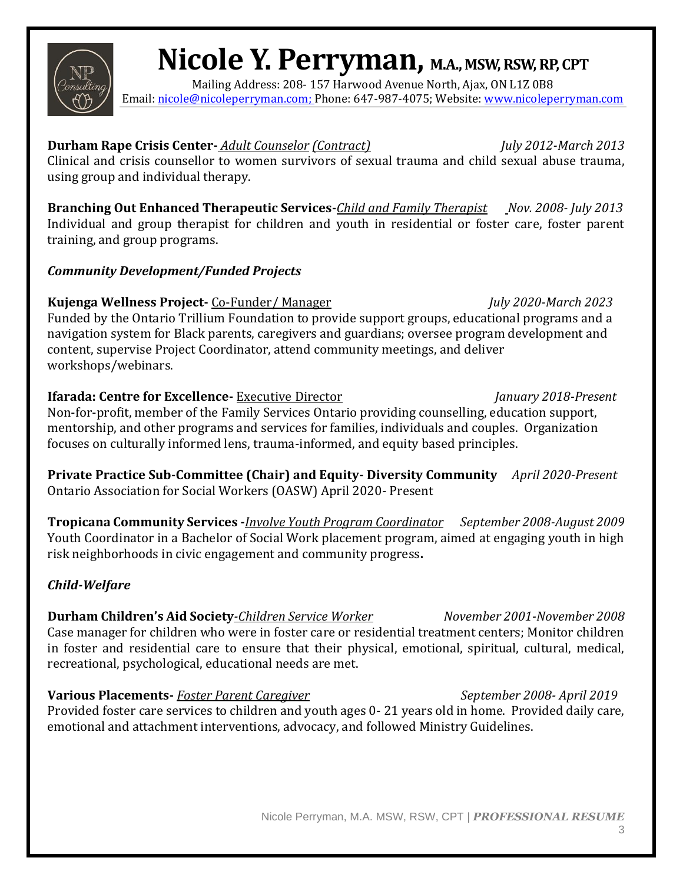Mailing Address: 208- 157 Harwood Avenue North, Ajax, ON L1Z 0B8 Email[: nicole@nicoleperryman.com;](mailto:nicole@nicoleperryman.com) Phone: 647-987-4075; Website[: www.nicoleperryman.com](http://www.nicoleperryman.com/)

**Durham Rape Crisis Center-** *Adult Counselor (Contract) July 2012-March 2013* Clinical and crisis counsellor to women survivors of sexual trauma and child sexual abuse trauma, using group and individual therapy.

**Branching Out Enhanced Therapeutic Services-***Child and Family Therapist Nov. 2008- July 2013* Individual and group therapist for children and youth in residential or foster care, foster parent training, and group programs.

# *Community Development/Funded Projects*

**Kujenga Wellness Project-** Co-Funder/ Manager *July 2020-March 2023* Funded by the Ontario Trillium Foundation to provide support groups, educational programs and a navigation system for Black parents, caregivers and guardians; oversee program development and content, supervise Project Coordinator, attend community meetings, and deliver workshops/webinars.

**Ifarada: Centre for Excellence-** Executive Director *January 2018-Present* Non-for-profit, member of the Family Services Ontario providing counselling, education support, mentorship, and other programs and services for families, individuals and couples. Organization focuses on culturally informed lens, trauma-informed, and equity based principles.

**Private Practice Sub-Committee (Chair) and Equity- Diversity Community** *April 2020-Present* Ontario Association for Social Workers (OASW) April 2020- Present

**Tropicana Community Services -***Involve Youth Program Coordinator**September 2008-August 2009* Youth Coordinator in a Bachelor of Social Work placement program, aimed at engaging youth in high risk neighborhoods in civic engagement and community progress**.**

# *Child-Welfare*

**Durham Children's Aid Society***-Children Service Worker November 2001-November 2008* Case manager for children who were in foster care or residential treatment centers; Monitor children in foster and residential care to ensure that their physical, emotional, spiritual, cultural, medical, recreational, psychological, educational needs are met.

**Various Placements-** *Foster Parent Caregiver September 2008- April 2019* Provided foster care services to children and youth ages 0- 21 years old in home. Provided daily care, emotional and attachment interventions, advocacy, and followed Ministry Guidelines.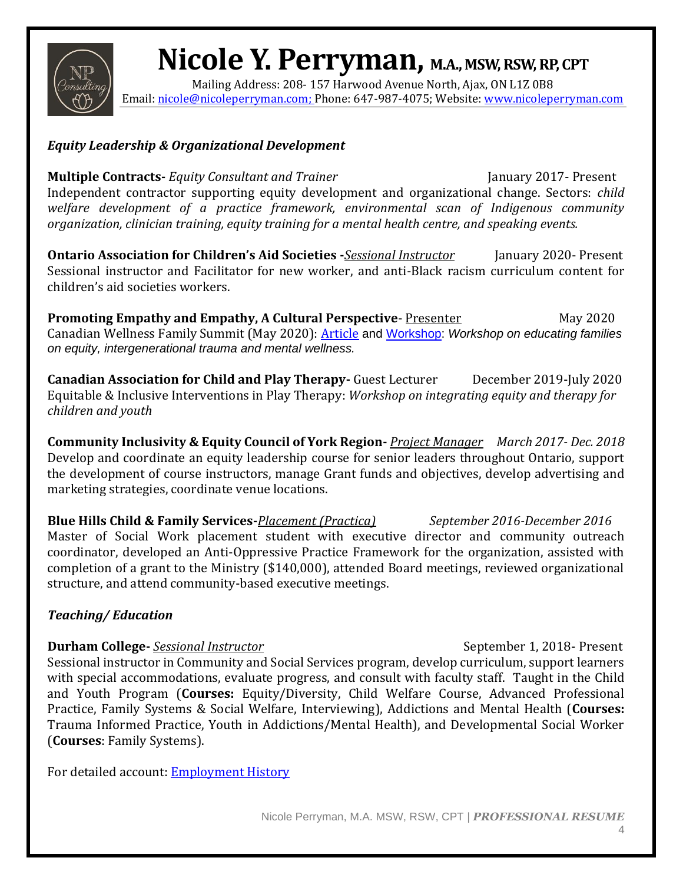

Mailing Address: 208- 157 Harwood Avenue North, Ajax, ON L1Z 0B8 Email[: nicole@nicoleperryman.com;](mailto:nicole@nicoleperryman.com) Phone: 647-987-4075; Website[: www.nicoleperryman.com](http://www.nicoleperryman.com/)

## *Equity Leadership & Organizational Development*

**Multiple Contracts-** *Equity Consultant and Trainer* **January 2017-** Present Independent contractor supporting equity development and organizational change. Sectors: *child welfare development of a practice framework, environmental scan of Indigenous community organization, clinician training, equity training for a mental health centre, and speaking events.*

**Ontario Association for Children's Aid Societies -***Sessional Instructor*January 2020- Present Sessional instructor and Facilitator for new worker, and anti-Black racism curriculum content for children's aid societies workers.

**Promoting Empathy and Empathy, A Cultural Perspective-** <u>Presenter</u> May 2020 Canadian Wellness Family Summit (May 2020): [Article](https://www.canadianwellness4families.com/post/promoting-resiliency-in-the-family-with-covid-19) and [Workshop:](https://www.canadianwellness4families.com/quote-10) *Workshop on educating families on equity, intergenerational trauma and mental wellness.*

**Canadian Association for Child and Play Therapy-** Guest Lecturer December 2019-July 2020 Equitable & Inclusive Interventions in Play Therapy: *Workshop on integrating equity and therapy for children and youth*

**Community Inclusivity & Equity Council of York Region-** *Project Manager March 2017- Dec. 2018* Develop and coordinate an equity leadership course for senior leaders throughout Ontario, support the development of course instructors, manage Grant funds and objectives, develop advertising and marketing strategies, coordinate venue locations.

**Blue Hills Child & Family Services-***Placement (Practica) September 2016-December 2016* Master of Social Work placement student with executive director and community outreach coordinator, developed an Anti-Oppressive Practice Framework for the organization, assisted with completion of a grant to the Ministry (\$140,000), attended Board meetings, reviewed organizational structure, and attend community-based executive meetings.

# *Teaching/ Education*

## **Durham College-** *Sessional Instructor* September 1, 2018- Present

Sessional instructor in Community and Social Services program, develop curriculum, support learners with special accommodations, evaluate progress, and consult with faculty staff. Taught in the Child and Youth Program (**Courses:** Equity/Diversity, Child Welfare Course, Advanced Professional Practice, Family Systems & Social Welfare, Interviewing), Addictions and Mental Health (**Courses:** Trauma Informed Practice, Youth in Addictions/Mental Health), and Developmental Social Worker (**Courses**: Family Systems).

For detailed account: **Employment History**